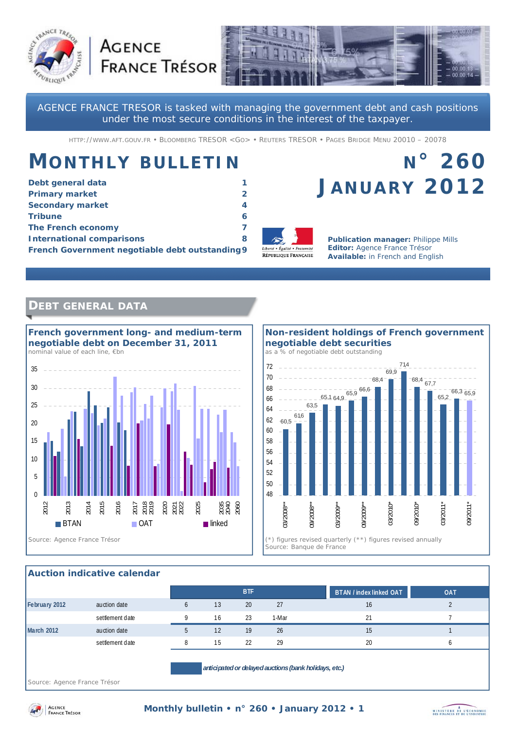



AGENCE FRANCE TRESOR is tasked with managing the government debt and cash positions under the most secure conditions in the interest of the taxpayer.

HTTP://WWW.AFT.GOUV.FR • BLOOMBERG TRESOR <GO> • REUTERS TRESOR • PAGES BRIDGE MENU 20010 – 20078

# **MONTHLY BULLETIN**

**AGENCE** 

| Debt general data                               |   |
|-------------------------------------------------|---|
| <b>Primary market</b>                           |   |
| <b>Secondary market</b>                         | 4 |
| <b>Tribune</b>                                  |   |
| The French economy                              |   |
| <b>International comparisons</b>                | 8 |
| French Government negotiable debt outstanding 9 |   |

# **N° 260 JANUARY 2012**



**Publication manager: Philippe Mills Editor:** Agence France Trésor **Available:** in French and English

## **DEBT GENERAL DATA**



### **Non-resident holdings of French government negotiable debt securities**  *as a % of negotiable debt outstanding*



### **Auction indicative calendar**

|               |                 |              |    | <b>BTF</b> |       | BTAN / index linked OAT<br><b>OAT</b> |  |
|---------------|-----------------|--------------|----|------------|-------|---------------------------------------|--|
| February 2012 | auction date    | <sub>b</sub> | 13 | 20         | 27    | 16                                    |  |
|               | settlement date | Q            | 16 | 23         | 1-Mar | 21                                    |  |
| March 2012    | auction date    | 5            | 12 | 19         | 26    | 15                                    |  |
|               | settlement date | 8            | 15 | 22         | 29    | 20<br>b                               |  |
|               |                 |              |    |            |       |                                       |  |

*Source: Agence France Trésor* 



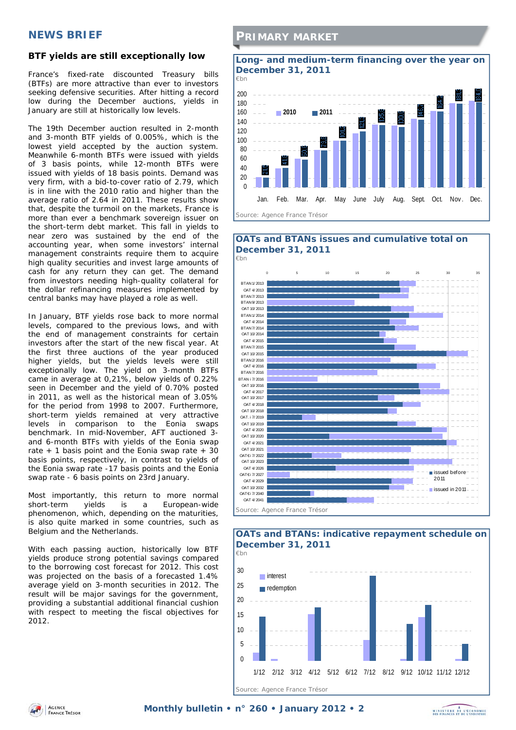## **NEWS BRIEF**

### **BTF yields are still exceptionally low**

France's fixed-rate discounted Treasury bills (BTFs) are more attractive than ever to investors seeking defensive securities. After hitting a record low during the December auctions, yields in January are still at historically low levels.

The 19th December auction resulted in 2-month and 3-month BTF yields of 0.005%, which is the lowest yield accepted by the auction system. Meanwhile 6-month BTFs were issued with yields of 3 basis points, while 12-month BTFs were issued with yields of 18 basis points. Demand was very firm, with a bid-to-cover ratio of 2.79, which is in line with the 2010 ratio and higher than the average ratio of 2.64 in 2011. These results show that, despite the turmoil on the markets, France is more than ever a benchmark sovereign issuer on the short-term debt market. This fall in yields to near zero was sustained by the end of the accounting year, when some investors' internal management constraints require them to acquire high quality securities and invest large amounts of cash for any return they can get. The demand from investors needing high-quality collateral for the dollar refinancing measures implemented by central banks may have played a role as well.

In January, BTF yields rose back to more normal levels, compared to the previous lows, and with the end of management constraints for certain investors after the start of the new fiscal year. At the first three auctions of the year produced higher yields, but the yields levels were still exceptionally low. The yield on 3-month BTFs came in average at 0,21%, below yields of 0.22% seen in December and the yield of 0.70% posted in 2011, as well as the historical mean of 3.05% for the period from 1998 to 2007. Furthermore, short-term yields remained at very attractive levels in comparison to the Eonia swaps benchmark. In mid-November, AFT auctioned 3 and 6-month BTFs with yields of the Eonia swap rate  $+$  1 basis point and the Eonia swap rate  $+$  30 basis points, respectively, in contrast to yields of the Eonia swap rate -17 basis points and the Eonia swap rate - 6 basis points on 23rd January.

Most importantly, this return to more normal short-term yields is a European-wide phenomenon, which, depending on the maturities, is also quite marked in some countries, such as Belgium and the Netherlands.

With each passing auction, historically low BTF yields produce strong potential savings compared to the borrowing cost forecast for 2012. This cost was projected on the basis of a forecasted 1.4% average yield on 3-month securities in 2012. The result will be major savings for the government, providing a substantial additional financial cushion with respect to meeting the fiscal objectives for 2012.

### **PRIMARY MARKET**





### **OATs and BTANs: indicative repayment schedule on December 31, 2011**



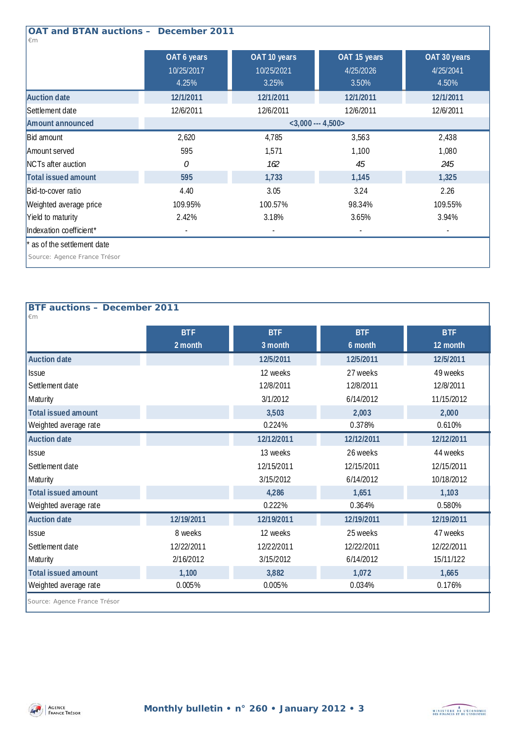| <b>OAT and BTAN auctions - December 2011</b><br>$\epsilon$ m |                                    |                                     |                                    |                                    |  |  |  |
|--------------------------------------------------------------|------------------------------------|-------------------------------------|------------------------------------|------------------------------------|--|--|--|
|                                                              | OAT 6 years<br>10/25/2017<br>4.25% | OAT 10 years<br>10/25/2021<br>3.25% | OAT 15 years<br>4/25/2026<br>3.50% | OAT 30 years<br>4/25/2041<br>4.50% |  |  |  |
| <b>Auction date</b>                                          | 12/1/2011                          | 12/1/2011                           | 12/1/2011                          | 12/1/2011                          |  |  |  |
| Settlement date                                              | 12/6/2011                          | 12/6/2011                           | 12/6/2011                          | 12/6/2011                          |  |  |  |
| Amount announced                                             | $<$ 3,000 --- 4,500>               |                                     |                                    |                                    |  |  |  |
| Bid amount                                                   | 2,620                              | 4,785                               | 3,563                              | 2,438                              |  |  |  |
| Amount served                                                | 595                                | 1,571                               | 1,100                              | 1,080                              |  |  |  |
| NCTs after auction                                           | 0                                  | 162                                 | 45                                 | 245                                |  |  |  |
| Total issued amount                                          | 595                                | 1,733                               | 1,145                              | 1,325                              |  |  |  |
| Bid-to-cover ratio                                           | 4.40                               | 3.05                                | 3.24                               | 2.26                               |  |  |  |
| Weighted average price                                       | 109.95%                            | 100.57%                             | 98.34%                             | 109.55%                            |  |  |  |
| Yield to maturity                                            | 2.42%                              | 3.18%                               | 3.65%                              | 3.94%                              |  |  |  |
| Indexation coefficient*                                      |                                    |                                     |                                    | $\overline{\phantom{a}}$           |  |  |  |
| * as of the settlement date                                  |                                    |                                     |                                    |                                    |  |  |  |
| Source: Agence France Trésor                                 |                                    |                                     |                                    |                                    |  |  |  |

## **BTF auctions – December 2011**

| $\epsilon$ m                 |            |            |            |            |
|------------------------------|------------|------------|------------|------------|
|                              | <b>BTF</b> | <b>BTF</b> | <b>BTF</b> | <b>BTF</b> |
|                              | 2 month    | 3 month    | 6 month    | 12 month   |
| <b>Auction date</b>          |            | 12/5/2011  | 12/5/2011  | 12/5/2011  |
| <b>Issue</b>                 |            | 12 weeks   | 27 weeks   | 49 weeks   |
| Settlement date              |            | 12/8/2011  | 12/8/2011  | 12/8/2011  |
| Maturity                     |            | 3/1/2012   | 6/14/2012  | 11/15/2012 |
| <b>Total issued amount</b>   |            | 3,503      | 2,003      | 2,000      |
| Weighted average rate        |            | 0.224%     | 0.378%     | 0.610%     |
| <b>Auction date</b>          |            | 12/12/2011 | 12/12/2011 | 12/12/2011 |
| <b>Issue</b>                 |            | 13 weeks   | 26 weeks   | 44 weeks   |
| Settlement date              |            | 12/15/2011 | 12/15/2011 | 12/15/2011 |
| Maturity                     |            | 3/15/2012  | 6/14/2012  | 10/18/2012 |
| <b>Total issued amount</b>   |            | 4,286      | 1,651      | 1,103      |
| Weighted average rate        |            | 0.222%     | 0.364%     | 0.580%     |
| <b>Auction date</b>          | 12/19/2011 | 12/19/2011 | 12/19/2011 | 12/19/2011 |
| <b>Issue</b>                 | 8 weeks    | 12 weeks   | 25 weeks   | 47 weeks   |
| Settlement date              | 12/22/2011 | 12/22/2011 | 12/22/2011 | 12/22/2011 |
| Maturity                     | 2/16/2012  | 3/15/2012  | 6/14/2012  | 15/11/122  |
| <b>Total issued amount</b>   | 1,100      | 3,882      | 1,072      | 1,665      |
| Weighted average rate        | 0.005%     | 0.005%     | 0.034%     | 0.176%     |
| Source: Agence France Trésor |            |            |            |            |

*Source: Agence France Trésor* 



1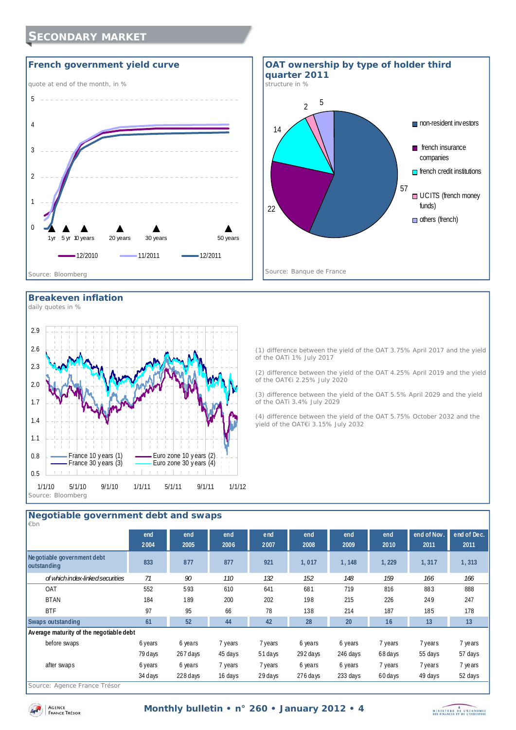## **SECONDARY MARKET**





**Breakeven inflation** 



(1) difference between the yield of the OAT 3.75% April 2017 and the yield of the OATi 1% July 2017

(2) difference between the yield of the OAT 4.25% April 2019 and the yield of the OAT€i 2.25% July 2020

(3) difference between the yield of the OAT 5.5% April 2029 and the yield of the OATi 3.4% July 2029

(4) difference between the yield of the OAT 5.75% October 2032 and the yield of the OAT€i 3.15% July 2032

## **Negotiable government debt and swaps**

| $\not\varepsilon$ bn                      |         |          |         |         |            |          |         |             |             |
|-------------------------------------------|---------|----------|---------|---------|------------|----------|---------|-------------|-------------|
|                                           | end     | end      | end     | end     | end        | end      | end     | end of Nov. | end of Dec. |
|                                           | 2004    | 2005     | 2006    | 2007    | 2008       | 2009     | 2010    | 2011        | 2011        |
| Negotiable government debt<br>outstanding | 833     | 877      | 877     | 921     | 1,017      | 1,148    | 1,229   | 1,317       | 1,313       |
| of which index-linked securities          | 71      | 90       | 110     | 132     | 152        | 148      | 159     | 166         | 166         |
| <b>OAT</b>                                | 552     | 593      | 610     | 641     | 681        | 719      | 816     | 883         | 888         |
| <b>BTAN</b>                               | 184     | 189      | 200     | 202     | 198        | 215      | 226     | 249         | 247         |
| <b>BTF</b>                                | 97      | 95       | 66      | 78      | 138        | 214      | 187     | 185         | 178         |
| Swaps outstanding                         | 61      | 52       | 44      | 42      | 28         | 20       | 16      | 13          | 13          |
| Average maturity of the negotiable debt   |         |          |         |         |            |          |         |             |             |
| before swaps                              | 6 years | 6 years  | 7 years | 7 years | 6 years    | 6 years  | 7 years | 7 years     | 7 years     |
|                                           | 79 days | 267 days | 45 days | 51 days | 292 days   | 246 days | 68 days | 55 days     | 57 days     |
| after swaps                               | 6 years | 6 years  | 7 years | 7 years | 6 years    | 6 years  | 7 years | 7 years     | 7 years     |
|                                           | 34 days | 228 days | 16 days | 29 days | $276$ days | 233 days | 60 days | 49 days     | 52 days     |
|                                           |         |          |         |         |            |          |         |             |             |

*Source: Agence France Trésor* 

AGENCE **FRANCE** TRESOR

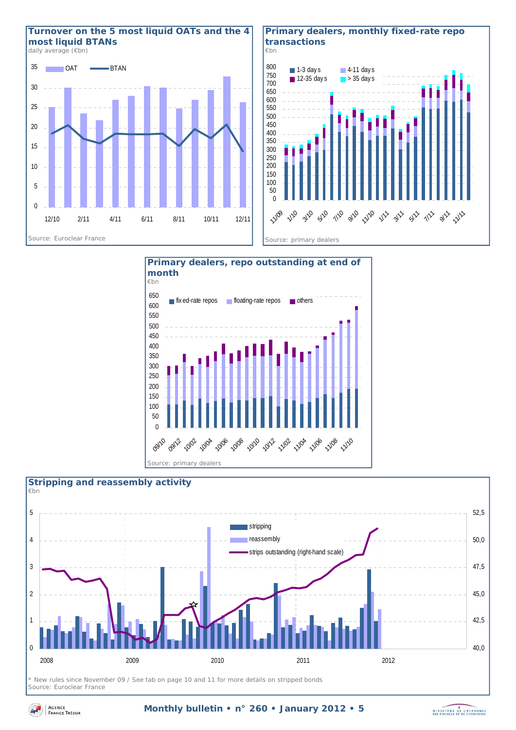

### **Primary dealers, monthly fixed-rate repo transactions**  *€bn*



MINISTERE DE L'ÉCONOMIE





*\* New rules since November 09 / See tab on page 10 and 11 for more details on stripped bonds Source: Euroclear France* 

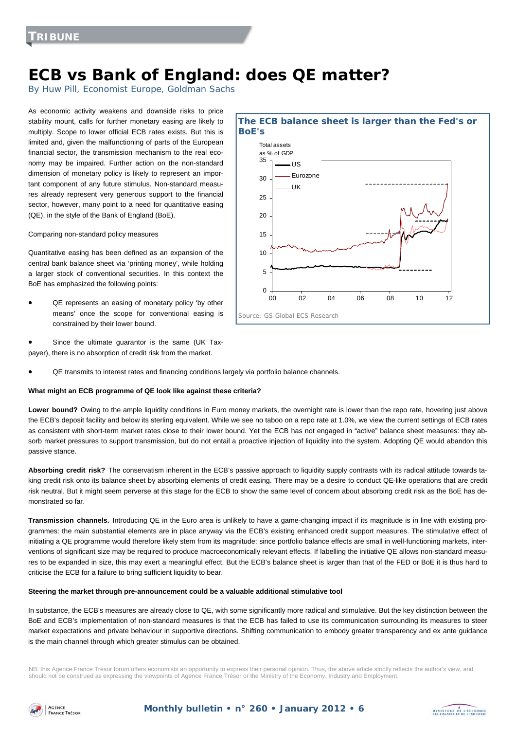## **ECB vs Bank of England: does QE matter?**

By Huw Pill, Economist Europe, Goldman Sachs

As economic activity weakens and downside risks to price stability mount, calls for further monetary easing are likely to multiply. Scope to lower official ECB rates exists. But this is limited and, given the malfunctioning of parts of the European financial sector, the transmission mechanism to the real economy may be impaired. Further action on the non-standard dimension of monetary policy is likely to represent an important component of any future stimulus. Non-standard measures already represent very generous support to the financial sector, however, many point to a need for quantitative easing (QE), in the style of the Bank of England (BoE).

Comparing non-standard policy measures

Quantitative easing has been defined as an expansion of the central bank balance sheet via 'printing money', while holding a larger stock of conventional securities. In this context the BoE has emphasized the following points:

- QE represents an easing of monetary policy 'by other means' once the scope for conventional easing is constrained by their lower bound.
- Since the ultimate guarantor is the same (UK Taxpayer), there is no absorption of credit risk from the market.
- QE transmits to interest rates and financing conditions largely via portfolio balance channels.

#### **What might an ECB programme of QE look like against these criteria?**

Lower bound? Owing to the ample liquidity conditions in Euro money markets, the overnight rate is lower than the repo rate, hovering just above the ECB's deposit facility and below its sterling equivalent. While we see no taboo on a repo rate at 1.0%, we view the current settings of ECB rates as consistent with short-term market rates close to their lower bound. Yet the ECB has not engaged in "active" balance sheet measures: they absorb market pressures to support transmission, but do not entail a proactive injection of liquidity into the system. Adopting QE would abandon this passive stance.

**Absorbing credit risk?** The conservatism inherent in the ECB's passive approach to liquidity supply contrasts with its radical attitude towards taking credit risk onto its balance sheet by absorbing elements of credit easing. There may be a desire to conduct QE-like operations that are credit risk neutral. But it might seem perverse at this stage for the ECB to show the same level of concern about absorbing credit risk as the BoE has demonstrated so far.

**Transmission channels.** Introducing QE in the Euro area is unlikely to have a game-changing impact if its magnitude is in line with existing programmes: the main substantial elements are in place anyway via the ECB's existing enhanced credit support measures. The stimulative effect of initiating a QE programme would therefore likely stem from its magnitude: since portfolio balance effects are small in well-functioning markets, interventions of significant size may be required to produce macroeconomically relevant effects. If labelling the initiative QE allows non-standard measures to be expanded in size, this may exert a meaningful effect. But the ECB's balance sheet is larger than that of the FED or BoE it is thus hard to criticise the ECB for a failure to bring sufficient liquidity to bear.

#### **Steering the market through pre-announcement could be a valuable additional stimulative tool**

In substance, the ECB's measures are already close to QE, with some significantly more radical and stimulative. But the key distinction between the BoE and ECB's implementation of non-standard measures is that the ECB has failed to use its communication surrounding its measures to steer market expectations and private behaviour in supportive directions. Shifting communication to embody greater transparency and ex ante guidance is the main channel through which greater stimulus can be obtained.

NB: this Agence France Trésor forum offers economists an opportunity to express their personal opinion. Thus, the above article strictly reflects the author's view, and should not be construed as expressing the viewpoints of Agence France Trésor or the Ministry of the Economy, Industry and Employment.



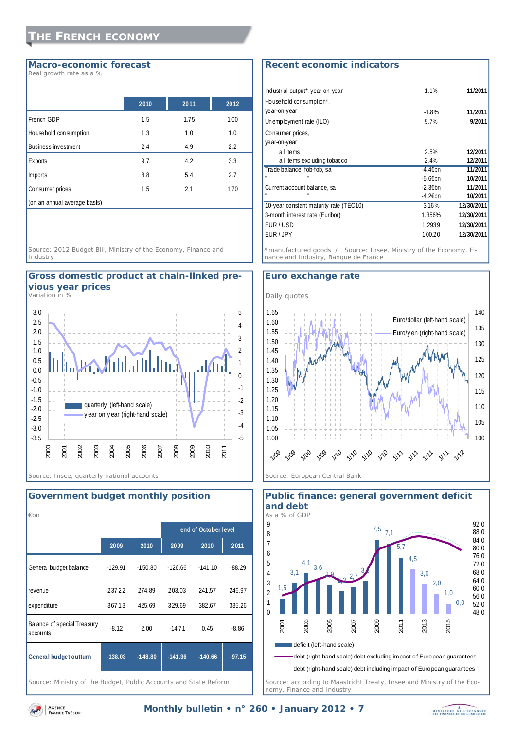## **THE FRENCH ECONOMY**

### **Macro-economic forecast**

*Real growth rate as a %* 

|                              | 2010 | 2011 | 2012 |
|------------------------------|------|------|------|
| French GDP                   | 1.5  | 1.75 | 1.00 |
| House hold consumption       | 1.3  | 1.0  | 1.0  |
| <b>Business investment</b>   | 2.4  | 4.9  | 2.2  |
| Exports                      | 9.7  | 4.2  | 3.3  |
| <b>Imports</b>               | 8.8  | 5.4  | 2.7  |
| Consumer prices              | 1.5  | 2.1  | 1.70 |
| (on an annual average basis) |      |      |      |

*Source: 2012 Budget Bill, Ministry of the Economy, Finance and Industry* 

### **Gross domestic product at chain-linked previous year prices**

*Variation in %* 



### **Government budget monthly position**

| $\not\varepsilon$ bn                    |           |           |           |                      |          |
|-----------------------------------------|-----------|-----------|-----------|----------------------|----------|
|                                         |           |           |           | end of October level |          |
|                                         | 2009      | 2010      | 2009      | 2010                 | 2011     |
| General budget balance                  | $-129.91$ | $-150.80$ | $-126.66$ | $-141.10$            | $-88.29$ |
| revenue                                 | 237.22    | 274.89    | 203.03    | 241.57               | 246.97   |
| expenditure                             | 367.13    | 425.69    | 329.69    | 382.67               | 335.26   |
| Balance of special Treasury<br>accounts | $-8.12$   | 2.00      | $-14.71$  | 0.45                 | $-8.86$  |
| General budget outturn                  | $-138.03$ | $-148.80$ | $-141.36$ | $-140.66$            | $-97.15$ |

*Source: Ministry of the Budget, Public Accounts and State Reform* 

### **Recent economic indicators**

| Industrial output*, year-on-year       | 1.1%       | 11/2011    |
|----------------------------------------|------------|------------|
| House hold consumption*,               |            |            |
| ye ar-on-year                          | $-1.8%$    | 11/2011    |
| Unemployment rate (ILO)                | 9.7%       | 9/2011     |
| Consumer prices,                       |            |            |
| ye ar-on-year                          |            |            |
| all items                              | 2.5%       | 12/2011    |
| all items excluding tobacco            | 2.4%       | 12/2011    |
| Trade balance, fob-fob, sa             | $-4.46$ bn | 11/2011    |
|                                        | $-5.6$ Ebn | 10/2011    |
| Current account balance, sa            | $-2.3$ Ebn | 11/2011    |
|                                        | $-4.26$ bn | 10/2011    |
| 10-year constant maturity rate (TEC10) | 3.16%      | 12/30/2011 |
| 3-month interest rate (Euribor)        | 1.356%     | 12/30/2011 |
| EUR/USD                                | 1.2939     | 12/30/2011 |
| EUR / JPY                              | 100.20     | 12/30/2011 |
|                                        |            |            |

*\*manufactured goods / Source: Insee, Ministry of the Economy, Finance and Industry, Banque de France* 

### **Euro exchange rate**





*Source: according to Maastricht Treaty, Insee and Ministry of the Economy, Finance and Industry* 



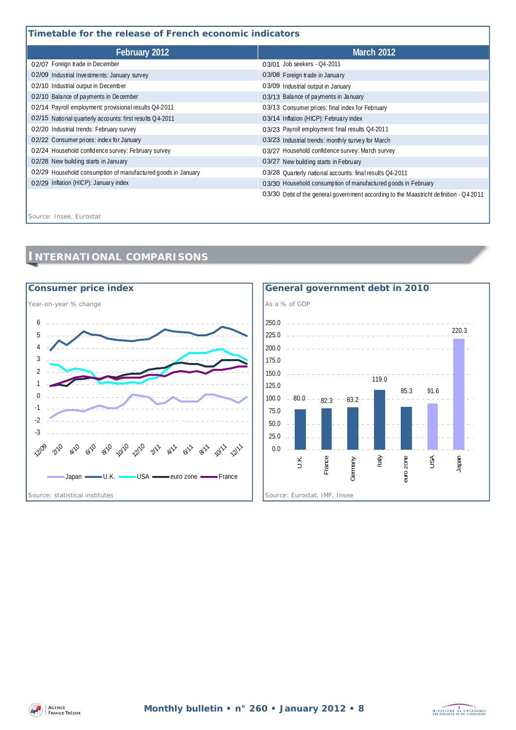## **Timetable for the release of French economic indicators**

| February 2012                                                | <b>March 2012</b>                                                                     |  |  |  |
|--------------------------------------------------------------|---------------------------------------------------------------------------------------|--|--|--|
| 02/07 Foreign trade in December                              | 03/01 Job seekers - 04-2011                                                           |  |  |  |
| 02/09 Industrial Investments: January survey                 | 03/08 Foreign trade in January                                                        |  |  |  |
| 02/10 Industrial output in December                          | 03/09 Industrial output in January                                                    |  |  |  |
| 02/10 Balance of payments in December                        | 03/13 Balance of payments in January                                                  |  |  |  |
| 02/14 Payroll employment: provisional results Q4-2011        | 03/13 Consumer prices: final index for February                                       |  |  |  |
| 02/15 National quarterly accounts: first results Q4-2011     | 03/14 Inflation (HICP): February index                                                |  |  |  |
| 02/20 Industrial trends: February survey                     | 03/23 Payroll employment: final results Q4-2011                                       |  |  |  |
| 02/22 Consumer prices: index for January                     | 03/23 Industrial trends: monthly survey for March                                     |  |  |  |
| 02/24 Household confidence survey: February survey           | 03/27 Household confidence survey: March survey                                       |  |  |  |
| 02/28 New building starts in January                         | 03/27 New building starts in February                                                 |  |  |  |
| 02/29 Household consumption of manufactured goods in January | 03/28 Quarterly national accounts: final results Q4-2011                              |  |  |  |
| 02/29 Inflation (HICP): January index                        | 03/30 Household consumption of manufactured goods in February                         |  |  |  |
|                                                              | 03/30 Debt of the general government according to the Maastricht definition - 04 2011 |  |  |  |

*Source: Insee, Eurostat*

## **INTERNATIONAL COMPARISONS**





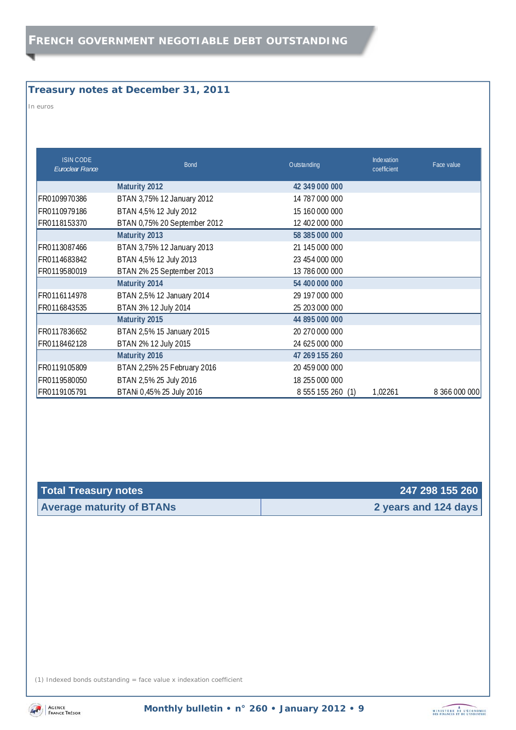## **Treasury notes at December 31, 2011**

*In euros* 

| <b>ISIN CODE</b><br>Euroclear France | <b>Bond</b>                  | Outstanding       | Inde xation<br>coefficient | Face value    |
|--------------------------------------|------------------------------|-------------------|----------------------------|---------------|
|                                      | <b>Maturity 2012</b>         | 42 349 000 000    |                            |               |
| FR0109970386                         | BTAN 3,75% 12 January 2012   | 14 787 000 000    |                            |               |
| FR0110979186                         | BTAN 4,5% 12 July 2012       | 15 160 000 000    |                            |               |
| FR0118153370                         | BTAN 0,75% 20 September 2012 | 12 402 000 000    |                            |               |
|                                      | <b>Maturity 2013</b>         | 58 385 000 000    |                            |               |
| FR0113087466                         | BTAN 3,75% 12 January 2013   | 21 145 000 000    |                            |               |
| FR0114683842                         | BTAN 4,5% 12 July 2013       | 23 454 000 000    |                            |               |
| FR0119580019                         | BTAN 2% 25 September 2013    | 13 786 000 000    |                            |               |
|                                      | Maturity 2014                | 54 400 000 000    |                            |               |
| FR0116114978                         | BTAN 2,5% 12 January 2014    | 29 197 000 000    |                            |               |
| FR0116843535                         | BTAN 3% 12 July 2014         | 25 203 000 000    |                            |               |
|                                      | Maturity 2015                | 44 895 000 000    |                            |               |
| FR0117836652                         | BTAN 2,5% 15 January 2015    | 20 270 000 000    |                            |               |
| FR0118462128                         | BTAN 2% 12 July 2015         | 24 625 000 000    |                            |               |
|                                      | Maturity 2016                | 47 269 155 260    |                            |               |
| FR0119105809                         | BTAN 2,25% 25 February 2016  | 20 459 000 000    |                            |               |
| FR0119580050                         | BTAN 2,5% 25 July 2016       | 18 255 000 000    |                            |               |
| FR0119105791                         | BTANi 0,45% 25 July 2016     | 8 555 155 260 (1) | 1,02261                    | 8 366 000 000 |

| Total Treasury notes             | 247 298 155 260      |
|----------------------------------|----------------------|
| <b>Average maturity of BTANs</b> | 2 years and 124 days |

(1) Indexed bonds outstanding = face value x indexation coefficient



**Monthly bulletin • n° 260 • January 2012 • 9** 

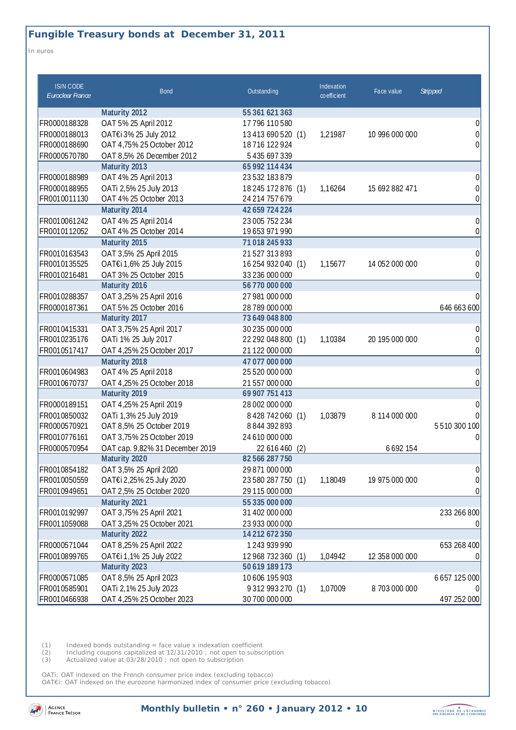*In euros* 

| <b>ISIN CODE</b><br>Euroclear France                         | <b>Bond</b>                                                                                                               | Outstanding                                                                                           | Indexation<br>coefficient | Face value                      | <b>Stripped</b>                          |
|--------------------------------------------------------------|---------------------------------------------------------------------------------------------------------------------------|-------------------------------------------------------------------------------------------------------|---------------------------|---------------------------------|------------------------------------------|
|                                                              | Maturity 2012                                                                                                             | 55 361 621 363                                                                                        |                           |                                 |                                          |
| FR0000188328                                                 | OAT 5% 25 April 2012                                                                                                      | 17 796 110 580                                                                                        |                           |                                 | $\Omega$                                 |
| FR0000188013                                                 | OAT€i 3% 25 July 2012                                                                                                     | 13 413 690 520 (1)                                                                                    | 1,21987                   | 10 996 000 000                  | $\overline{0}$                           |
| FR0000188690                                                 | OAT 4,75% 25 October 2012                                                                                                 | 18716 122 924                                                                                         |                           |                                 | $\Omega$                                 |
| FR0000570780                                                 | OAT 8,5% 26 December 2012                                                                                                 | 5 4 3 5 6 9 7 3 3 9                                                                                   |                           |                                 |                                          |
|                                                              | Maturity 2013                                                                                                             | 65 992 114 434                                                                                        |                           |                                 |                                          |
| FR0000188989                                                 | OAT 4% 25 April 2013                                                                                                      | 23 532 183 879                                                                                        |                           |                                 | $\overline{0}$                           |
| FR0000188955                                                 | OATi 2,5% 25 July 2013                                                                                                    | 18 245 172 876 (1)                                                                                    | 1,16264                   | 15 692 882 471                  | $\Omega$                                 |
| FR0010011130                                                 | OAT 4% 25 October 2013                                                                                                    | 24 214 757 679                                                                                        |                           |                                 | 0                                        |
|                                                              | Maturity 2014                                                                                                             | 42 659 724 224                                                                                        |                           |                                 |                                          |
| FR0010061242                                                 | OAT 4% 25 April 2014                                                                                                      | 23 005 752 234                                                                                        |                           |                                 | 0                                        |
| FR0010112052                                                 | OAT 4% 25 October 2014                                                                                                    | 19653 971 990                                                                                         |                           |                                 | $\theta$                                 |
|                                                              | Maturity 2015                                                                                                             | 71 018 245 933                                                                                        |                           |                                 |                                          |
| FR0010163543                                                 | OAT 3,5% 25 April 2015                                                                                                    | 21527313893                                                                                           |                           |                                 | 0                                        |
| FR0010135525                                                 | OAT€i 1,6% 25 July 2015                                                                                                   | 16 254 932 040 (1)                                                                                    | 1,15677                   | 14 052 000 000                  | $\Omega$                                 |
| FR0010216481                                                 | OAT 3% 25 October 2015                                                                                                    | 33 236 000 000                                                                                        |                           |                                 | $\theta$                                 |
|                                                              | Maturity 2016                                                                                                             | 56 770 000 000                                                                                        |                           |                                 |                                          |
| FR0010288357                                                 | OAT 3,25% 25 April 2016                                                                                                   | 27 981 000 000                                                                                        |                           |                                 | 0                                        |
| FR0000187361                                                 | OAT 5% 25 October 2016                                                                                                    | 28 789 000 000                                                                                        |                           |                                 | 646 663 600                              |
|                                                              | Maturity 2017                                                                                                             | 73 649 048 800                                                                                        |                           |                                 |                                          |
| FR0010415331                                                 | OAT 3,75% 25 April 2017                                                                                                   | 30 235 000 000                                                                                        |                           |                                 | $\Omega$                                 |
| FR0010235176                                                 | OATi 1% 25 July 2017                                                                                                      | 22 292 048 800 (1)                                                                                    | 1,10384                   | 20 195 000 000                  | 0                                        |
| FR0010517417                                                 | OAT 4,25% 25 October 2017                                                                                                 | 21 122 000 000                                                                                        |                           |                                 | $\theta$                                 |
|                                                              | Maturity 2018                                                                                                             | 47 077 000 000                                                                                        |                           |                                 |                                          |
| FR0010604983                                                 | OAT 4% 25 April 2018                                                                                                      | 25 520 000 000                                                                                        |                           |                                 | 0                                        |
| FR0010670737                                                 | OAT 4,25% 25 October 2018                                                                                                 | 21 557 000 000                                                                                        |                           |                                 | 0                                        |
|                                                              | Maturity 2019                                                                                                             | 69 907 751 413                                                                                        |                           |                                 |                                          |
| FR0000189151                                                 | OAT 4,25% 25 April 2019                                                                                                   | 28 002 000 000                                                                                        |                           |                                 | $\Omega$                                 |
| FR0010850032                                                 | OATi 1,3% 25 July 2019                                                                                                    | 8 4 28 74 2 0 60 (1)                                                                                  | 1,03879                   | 8 114 000 000                   |                                          |
| FR0000570921                                                 | OAT 8,5% 25 October 2019                                                                                                  | 8844392893                                                                                            |                           |                                 | 5510300100                               |
| FR0010776161                                                 | OAT 3,75% 25 October 2019                                                                                                 | 24 610 000 000                                                                                        |                           |                                 | 0                                        |
| FR0000570954                                                 | OAT cap. 9,82% 31 December 2019                                                                                           | 22 616 460<br>(2)                                                                                     |                           | 6692154                         |                                          |
|                                                              | Maturity 2020                                                                                                             | 82 566 287 750                                                                                        |                           |                                 |                                          |
| FR0010854182                                                 | OAT 3,5% 25 April 2020                                                                                                    | 29 871 000 000                                                                                        |                           |                                 | 0                                        |
| FR0010050559                                                 | OAT€i 2,25% 25 July 2020                                                                                                  | 23 580 287 750 (1)                                                                                    | 1,18049                   | 19 975 000 000                  | $\vert 0 \vert$                          |
| FR0010949651                                                 | OAT 2,5% 25 October 2020                                                                                                  | 29 115 000 000                                                                                        |                           |                                 | 0                                        |
|                                                              | Maturity 2021                                                                                                             | 55 335 000 000                                                                                        |                           |                                 |                                          |
| FR0010192997                                                 | OAT 3,75% 25 April 2021                                                                                                   | 31 402 000 000                                                                                        |                           |                                 | 233 266 800                              |
| FR0011059088                                                 | OAT 3,25% 25 October 2021                                                                                                 | 23 933 000 000                                                                                        |                           |                                 |                                          |
|                                                              | Maturity 2022                                                                                                             | 14 212 672 350                                                                                        |                           |                                 |                                          |
| FR0000571044                                                 | OAT 8,25% 25 April 2022                                                                                                   | 1243 939 990                                                                                          |                           |                                 | 653 268 400                              |
|                                                              |                                                                                                                           |                                                                                                       |                           |                                 |                                          |
|                                                              |                                                                                                                           |                                                                                                       |                           |                                 |                                          |
|                                                              |                                                                                                                           |                                                                                                       |                           |                                 |                                          |
|                                                              |                                                                                                                           |                                                                                                       |                           |                                 |                                          |
| FR0010899765<br>FR0000571085<br>FR0010585901<br>FR0010466938 | OAT€i 1,1% 25 July 2022<br>Maturity 2023<br>OAT 8,5% 25 April 2023<br>OATi 2,1% 25 July 2023<br>OAT 4,25% 25 October 2023 | 12 968 732 360<br>(1)<br>50 619 189 173<br>10 606 195 903<br>9 3 12 9 9 3 2 7 0 (1)<br>30 700 000 000 | 1,04942<br>1,07009        | 12 358 000 000<br>8 703 000 000 | $\theta$<br>6 657 125 000<br>497 252 000 |

(1) Indexed bonds outstanding = face value x indexation coefficient

(2) Including coupons capitalized at 12/31/2010 ; not open to subscription

(3) Actualized value at 03/28/2010 ; not open to subscription

OATi: OAT indexed on the French consumer price index (excluding tobacco)

OAT€i: OAT indexed on the eurozone harmonized index of consumer price (excluding tobacco)



**Monthly bulletin • n° 260 • January 2012 • 10** 

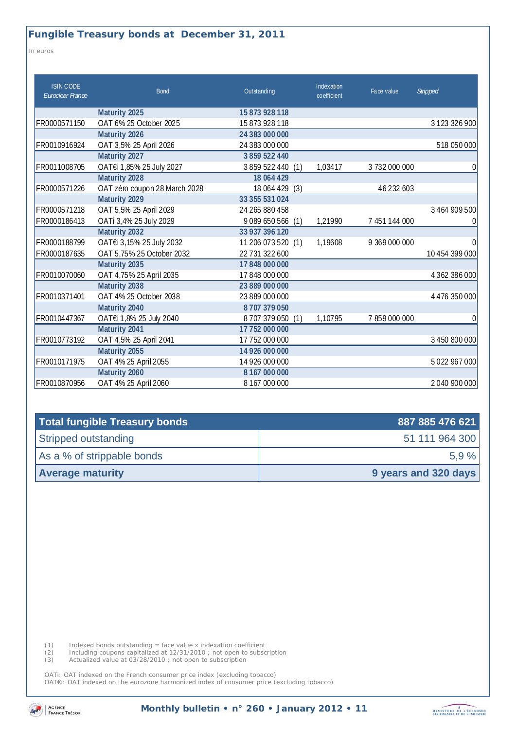*In euros* 

| <b>ISIN CODE</b><br>Euroclear France | <b>Bond</b>                   | Outstanding         | Indexation<br>coefficient | Face value    | <b>Stripped</b>     |
|--------------------------------------|-------------------------------|---------------------|---------------------------|---------------|---------------------|
|                                      | Maturity 2025                 | 15 873 928 118      |                           |               |                     |
| FR0000571150                         | OAT 6% 25 October 2025        | 15873928118         |                           |               | 3 1 2 3 3 2 6 9 0 0 |
|                                      | Maturity 2026                 | 24 383 000 000      |                           |               |                     |
| FR0010916924                         | OAT 3,5% 25 April 2026        | 24 383 000 000      |                           |               | 518 050 000         |
|                                      | Maturity 2027                 | 3859522440          |                           |               |                     |
| FR0011008705                         | OAT€i 1,85% 25 July 2027      | 3859522440<br>(1)   | 1,03417                   | 3732000000    | 0                   |
|                                      | Maturity 2028                 | 18 064 429          |                           |               |                     |
| FR0000571226                         | OAT zéro coupon 28 March 2028 | 18 064 429<br>(3)   |                           | 46 232 603    |                     |
|                                      | Maturity 2029                 | 33 355 531 024      |                           |               |                     |
| FR0000571218                         | OAT 5,5% 25 April 2029        | 24 265 880 458      |                           |               | 3 464 909 500       |
| FR0000186413                         | OATi 3,4% 25 July 2029        | 9089 650 566<br>(1) | 1,21990                   | 7 451 144 000 |                     |
|                                      | Maturity 2032                 | 33 937 396 120      |                           |               |                     |
| FR0000188799                         | OAT€i 3,15% 25 July 2032      | 11 206 073 520 (1)  | 1,19608                   | 9 369 000 000 | $\Omega$            |
| FR0000187635                         | OAT 5,75% 25 October 2032     | 22 731 322 600      |                           |               | 10 454 399 000      |
|                                      | Maturity 2035                 | 17848000000         |                           |               |                     |
| FR0010070060                         | OAT 4,75% 25 April 2035       | 17848000000         |                           |               | 4 362 386 000       |
|                                      | Maturity 2038                 | 23 889 000 000      |                           |               |                     |
| FR0010371401                         | OAT 4% 25 October 2038        | 23 889 000 000      |                           |               | 4 4 7 6 3 5 0 0 0 0 |
|                                      | Maturity 2040                 | 8707379050          |                           |               |                     |
| FR0010447367                         | OAT€i 1,8% 25 July 2040       | 8707379050<br>(1)   | 1,10795                   | 7859000000    | $\Omega$            |
|                                      | Maturity 2041                 | 17 752 000 000      |                           |               |                     |
| FR0010773192                         | OAT 4,5% 25 April 2041        | 17 752 000 000      |                           |               | 3 450 800 000       |
|                                      | Maturity 2055                 | 14 926 000 000      |                           |               |                     |
| FR0010171975                         | OAT 4% 25 April 2055          | 14 926 000 000      |                           |               | 5022967000          |
|                                      | Maturity 2060                 | 8167000000          |                           |               |                     |
| FR0010870956                         | OAT 4% 25 April 2060          | 8167000000          |                           |               | 2040 900 000        |

| Total fungible Treasury bonds | 887 885 476 621      |  |
|-------------------------------|----------------------|--|
| Stripped outstanding          | 51 111 964 300       |  |
| As a % of strippable bonds    | 5.9%                 |  |
| <b>Average maturity</b>       | 9 years and 320 days |  |

(1) Indexed bonds outstanding = face value x indexation coefficient

(2) Including coupons capitalized at 12/31/2010 ; not open to subscription

(3) Actualized value at 03/28/2010 ; not open to subscription

OATi: OAT indexed on the French consumer price index (excluding tobacco) OAT€i: OAT indexed on the eurozone harmonized index of consumer price (excluding tobacco)

**Monthly bulletin • n° 260 • January 2012 • 11**